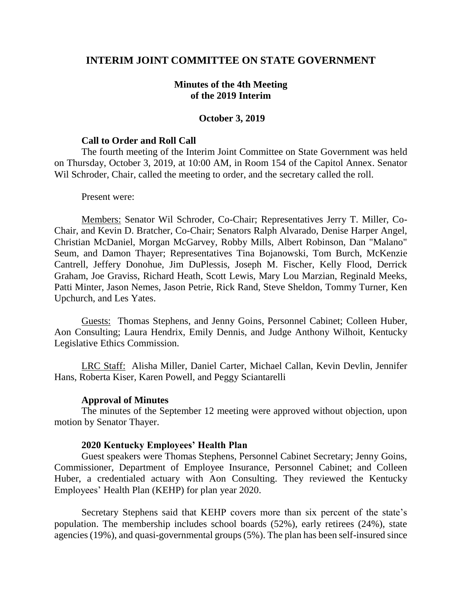# **INTERIM JOINT COMMITTEE ON STATE GOVERNMENT**

## **Minutes of the 4th Meeting of the 2019 Interim**

### **October 3, 2019**

#### **Call to Order and Roll Call**

The fourth meeting of the Interim Joint Committee on State Government was held on Thursday, October 3, 2019, at 10:00 AM, in Room 154 of the Capitol Annex. Senator Wil Schroder, Chair, called the meeting to order, and the secretary called the roll.

#### Present were:

Members: Senator Wil Schroder, Co-Chair; Representatives Jerry T. Miller, Co-Chair, and Kevin D. Bratcher, Co-Chair; Senators Ralph Alvarado, Denise Harper Angel, Christian McDaniel, Morgan McGarvey, Robby Mills, Albert Robinson, Dan "Malano" Seum, and Damon Thayer; Representatives Tina Bojanowski, Tom Burch, McKenzie Cantrell, Jeffery Donohue, Jim DuPlessis, Joseph M. Fischer, Kelly Flood, Derrick Graham, Joe Graviss, Richard Heath, Scott Lewis, Mary Lou Marzian, Reginald Meeks, Patti Minter, Jason Nemes, Jason Petrie, Rick Rand, Steve Sheldon, Tommy Turner, Ken Upchurch, and Les Yates.

Guests: Thomas Stephens, and Jenny Goins, Personnel Cabinet; Colleen Huber, Aon Consulting; Laura Hendrix, Emily Dennis, and Judge Anthony Wilhoit, Kentucky Legislative Ethics Commission.

LRC Staff: Alisha Miller, Daniel Carter, Michael Callan, Kevin Devlin, Jennifer Hans, Roberta Kiser, Karen Powell, and Peggy Sciantarelli

### **Approval of Minutes**

The minutes of the September 12 meeting were approved without objection, upon motion by Senator Thayer.

#### **2020 Kentucky Employees' Health Plan**

Guest speakers were Thomas Stephens, Personnel Cabinet Secretary; Jenny Goins, Commissioner, Department of Employee Insurance, Personnel Cabinet; and Colleen Huber, a credentialed actuary with Aon Consulting. They reviewed the Kentucky Employees' Health Plan (KEHP) for plan year 2020.

Secretary Stephens said that KEHP covers more than six percent of the state's population. The membership includes school boards (52%), early retirees (24%), state agencies (19%), and quasi-governmental groups (5%). The plan has been self-insured since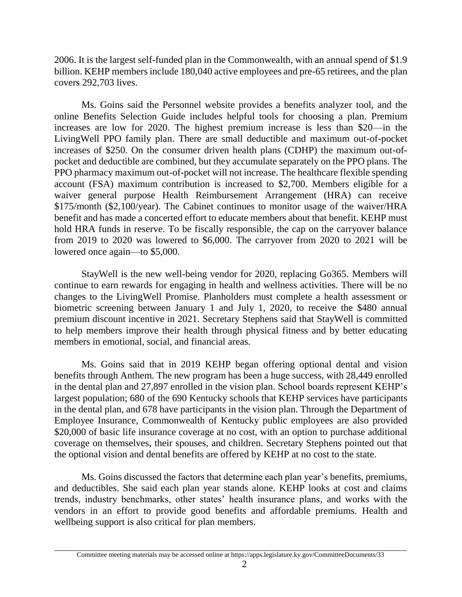2006. It is the largest self-funded plan in the Commonwealth, with an annual spend of \$1.9 billion. KEHP members include 180,040 active employees and pre-65 retirees, and the plan covers 292,703 lives.

Ms. Goins said the Personnel website provides a benefits analyzer tool, and the online Benefits Selection Guide includes helpful tools for choosing a plan. Premium increases are low for 2020. The highest premium increase is less than \$20—in the LivingWell PPO family plan. There are small deductible and maximum out-of-pocket increases of \$250. On the consumer driven health plans (CDHP) the maximum out-ofpocket and deductible are combined, but they accumulate separately on the PPO plans. The PPO pharmacy maximum out-of-pocket will not increase. The healthcare flexible spending account (FSA) maximum contribution is increased to \$2,700. Members eligible for a waiver general purpose Health Reimbursement Arrangement (HRA) can receive \$175/month (\$2,100/year). The Cabinet continues to monitor usage of the waiver/HRA benefit and has made a concerted effort to educate members about that benefit. KEHP must hold HRA funds in reserve. To be fiscally responsible, the cap on the carryover balance from 2019 to 2020 was lowered to \$6,000. The carryover from 2020 to 2021 will be lowered once again—to \$5,000.

StayWell is the new well-being vendor for 2020, replacing Go365. Members will continue to earn rewards for engaging in health and wellness activities. There will be no changes to the LivingWell Promise. Planholders must complete a health assessment or biometric screening between January 1 and July 1, 2020, to receive the \$480 annual premium discount incentive in 2021. Secretary Stephens said that StayWell is committed to help members improve their health through physical fitness and by better educating members in emotional, social, and financial areas.

Ms. Goins said that in 2019 KEHP began offering optional dental and vision benefits through Anthem. The new program has been a huge success, with 28,449 enrolled in the dental plan and 27,897 enrolled in the vision plan. School boards represent KEHP's largest population; 680 of the 690 Kentucky schools that KEHP services have participants in the dental plan, and 678 have participants in the vision plan. Through the Department of Employee Insurance, Commonwealth of Kentucky public employees are also provided \$20,000 of basic life insurance coverage at no cost, with an option to purchase additional coverage on themselves, their spouses, and children. Secretary Stephens pointed out that the optional vision and dental benefits are offered by KEHP at no cost to the state.

Ms. Goins discussed the factors that determine each plan year's benefits, premiums, and deductibles. She said each plan year stands alone. KEHP looks at cost and claims trends, industry benchmarks, other states' health insurance plans, and works with the vendors in an effort to provide good benefits and affordable premiums. Health and wellbeing support is also critical for plan members.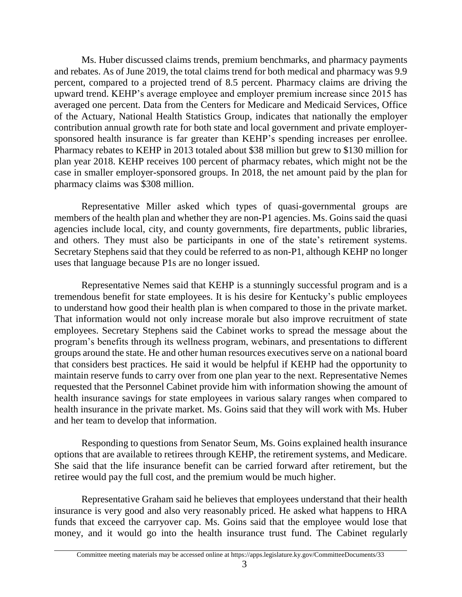Ms. Huber discussed claims trends, premium benchmarks, and pharmacy payments and rebates. As of June 2019, the total claims trend for both medical and pharmacy was 9.9 percent, compared to a projected trend of 8.5 percent. Pharmacy claims are driving the upward trend. KEHP's average employee and employer premium increase since 2015 has averaged one percent. Data from the Centers for Medicare and Medicaid Services, Office of the Actuary, National Health Statistics Group, indicates that nationally the employer contribution annual growth rate for both state and local government and private employersponsored health insurance is far greater than KEHP's spending increases per enrollee. Pharmacy rebates to KEHP in 2013 totaled about \$38 million but grew to \$130 million for plan year 2018. KEHP receives 100 percent of pharmacy rebates, which might not be the case in smaller employer-sponsored groups. In 2018, the net amount paid by the plan for pharmacy claims was \$308 million.

Representative Miller asked which types of quasi-governmental groups are members of the health plan and whether they are non-P1 agencies. Ms. Goins said the quasi agencies include local, city, and county governments, fire departments, public libraries, and others. They must also be participants in one of the state's retirement systems. Secretary Stephens said that they could be referred to as non-P1, although KEHP no longer uses that language because P1s are no longer issued.

Representative Nemes said that KEHP is a stunningly successful program and is a tremendous benefit for state employees. It is his desire for Kentucky's public employees to understand how good their health plan is when compared to those in the private market. That information would not only increase morale but also improve recruitment of state employees. Secretary Stephens said the Cabinet works to spread the message about the program's benefits through its wellness program, webinars, and presentations to different groups around the state. He and other human resources executives serve on a national board that considers best practices. He said it would be helpful if KEHP had the opportunity to maintain reserve funds to carry over from one plan year to the next. Representative Nemes requested that the Personnel Cabinet provide him with information showing the amount of health insurance savings for state employees in various salary ranges when compared to health insurance in the private market. Ms. Goins said that they will work with Ms. Huber and her team to develop that information.

Responding to questions from Senator Seum, Ms. Goins explained health insurance options that are available to retirees through KEHP, the retirement systems, and Medicare. She said that the life insurance benefit can be carried forward after retirement, but the retiree would pay the full cost, and the premium would be much higher.

Representative Graham said he believes that employees understand that their health insurance is very good and also very reasonably priced. He asked what happens to HRA funds that exceed the carryover cap. Ms. Goins said that the employee would lose that money, and it would go into the health insurance trust fund. The Cabinet regularly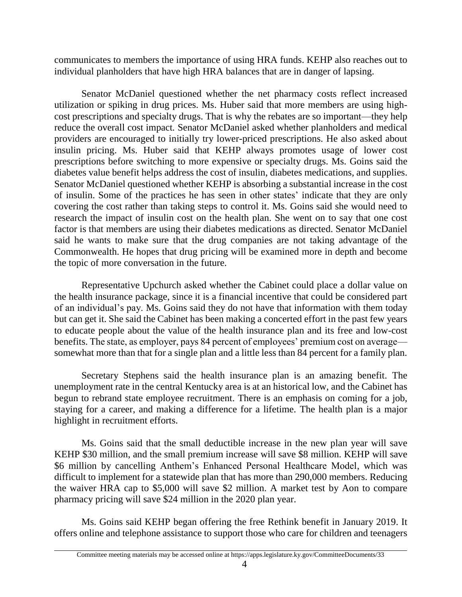communicates to members the importance of using HRA funds. KEHP also reaches out to individual planholders that have high HRA balances that are in danger of lapsing.

Senator McDaniel questioned whether the net pharmacy costs reflect increased utilization or spiking in drug prices. Ms. Huber said that more members are using highcost prescriptions and specialty drugs. That is why the rebates are so important—they help reduce the overall cost impact*.* Senator McDaniel asked whether planholders and medical providers are encouraged to initially try lower-priced prescriptions. He also asked about insulin pricing. Ms. Huber said that KEHP always promotes usage of lower cost prescriptions before switching to more expensive or specialty drugs. Ms. Goins said the diabetes value benefit helps address the cost of insulin, diabetes medications, and supplies. Senator McDaniel questioned whether KEHP is absorbing a substantial increase in the cost of insulin. Some of the practices he has seen in other states' indicate that they are only covering the cost rather than taking steps to control it. Ms. Goins said she would need to research the impact of insulin cost on the health plan. She went on to say that one cost factor is that members are using their diabetes medications as directed. Senator McDaniel said he wants to make sure that the drug companies are not taking advantage of the Commonwealth. He hopes that drug pricing will be examined more in depth and become the topic of more conversation in the future.

Representative Upchurch asked whether the Cabinet could place a dollar value on the health insurance package, since it is a financial incentive that could be considered part of an individual's pay. Ms. Goins said they do not have that information with them today but can get it. She said the Cabinet has been making a concerted effort in the past few years to educate people about the value of the health insurance plan and its free and low-cost benefits. The state, as employer, pays 84 percent of employees' premium cost on average somewhat more than that for a single plan and a little less than 84 percent for a family plan.

Secretary Stephens said the health insurance plan is an amazing benefit. The unemployment rate in the central Kentucky area is at an historical low, and the Cabinet has begun to rebrand state employee recruitment. There is an emphasis on coming for a job, staying for a career, and making a difference for a lifetime. The health plan is a major highlight in recruitment efforts.

Ms. Goins said that the small deductible increase in the new plan year will save KEHP \$30 million, and the small premium increase will save \$8 million. KEHP will save \$6 million by cancelling Anthem's Enhanced Personal Healthcare Model, which was difficult to implement for a statewide plan that has more than 290,000 members. Reducing the waiver HRA cap to \$5,000 will save \$2 million. A market test by Aon to compare pharmacy pricing will save \$24 million in the 2020 plan year.

Ms. Goins said KEHP began offering the free Rethink benefit in January 2019. It offers online and telephone assistance to support those who care for children and teenagers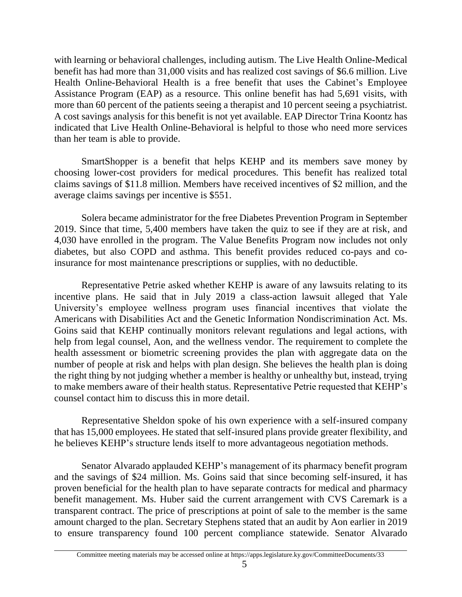with learning or behavioral challenges, including autism. The Live Health Online-Medical benefit has had more than 31,000 visits and has realized cost savings of \$6.6 million. Live Health Online-Behavioral Health is a free benefit that uses the Cabinet's Employee Assistance Program (EAP) as a resource. This online benefit has had 5,691 visits, with more than 60 percent of the patients seeing a therapist and 10 percent seeing a psychiatrist. A cost savings analysis for this benefit is not yet available. EAP Director Trina Koontz has indicated that Live Health Online-Behavioral is helpful to those who need more services than her team is able to provide.

SmartShopper is a benefit that helps KEHP and its members save money by choosing lower-cost providers for medical procedures. This benefit has realized total claims savings of \$11.8 million. Members have received incentives of \$2 million, and the average claims savings per incentive is \$551.

Solera became administrator for the free Diabetes Prevention Program in September 2019. Since that time, 5,400 members have taken the quiz to see if they are at risk, and 4,030 have enrolled in the program. The Value Benefits Program now includes not only diabetes, but also COPD and asthma. This benefit provides reduced co-pays and coinsurance for most maintenance prescriptions or supplies, with no deductible.

Representative Petrie asked whether KEHP is aware of any lawsuits relating to its incentive plans. He said that in July 2019 a class-action lawsuit alleged that Yale University's employee wellness program uses financial incentives that violate the Americans with Disabilities Act and the Genetic Information Nondiscrimination Act. Ms. Goins said that KEHP continually monitors relevant regulations and legal actions, with help from legal counsel, Aon, and the wellness vendor. The requirement to complete the health assessment or biometric screening provides the plan with aggregate data on the number of people at risk and helps with plan design. She believes the health plan is doing the right thing by not judging whether a member is healthy or unhealthy but, instead, trying to make members aware of their health status. Representative Petrie requested that KEHP's counsel contact him to discuss this in more detail.

Representative Sheldon spoke of his own experience with a self-insured company that has 15,000 employees. He stated that self-insured plans provide greater flexibility, and he believes KEHP's structure lends itself to more advantageous negotiation methods.

Senator Alvarado applauded KEHP's management of its pharmacy benefit program and the savings of \$24 million. Ms. Goins said that since becoming self-insured, it has proven beneficial for the health plan to have separate contracts for medical and pharmacy benefit management. Ms. Huber said the current arrangement with CVS Caremark is a transparent contract. The price of prescriptions at point of sale to the member is the same amount charged to the plan. Secretary Stephens stated that an audit by Aon earlier in 2019 to ensure transparency found 100 percent compliance statewide. Senator Alvarado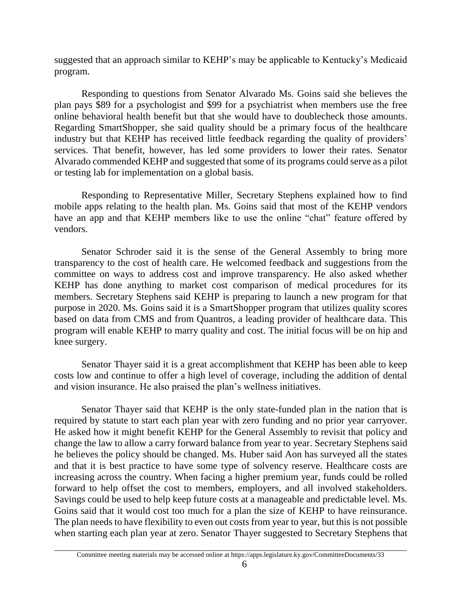suggested that an approach similar to KEHP's may be applicable to Kentucky's Medicaid program.

Responding to questions from Senator Alvarado Ms. Goins said she believes the plan pays \$89 for a psychologist and \$99 for a psychiatrist when members use the free online behavioral health benefit but that she would have to doublecheck those amounts. Regarding SmartShopper, she said quality should be a primary focus of the healthcare industry but that KEHP has received little feedback regarding the quality of providers' services. That benefit, however, has led some providers to lower their rates*.* Senator Alvarado commended KEHP and suggested that some of its programs could serve as a pilot or testing lab for implementation on a global basis*.*

Responding to Representative Miller, Secretary Stephens explained how to find mobile apps relating to the health plan. Ms. Goins said that most of the KEHP vendors have an app and that KEHP members like to use the online "chat" feature offered by vendors.

Senator Schroder said it is the sense of the General Assembly to bring more transparency to the cost of health care. He welcomed feedback and suggestions from the committee on ways to address cost and improve transparency. He also asked whether KEHP has done anything to market cost comparison of medical procedures for its members. Secretary Stephens said KEHP is preparing to launch a new program for that purpose in 2020. Ms. Goins said it is a SmartShopper program that utilizes quality scores based on data from CMS and from Quantros, a leading provider of healthcare data. This program will enable KEHP to marry quality and cost. The initial focus will be on hip and knee surgery.

Senator Thayer said it is a great accomplishment that KEHP has been able to keep costs low and continue to offer a high level of coverage, including the addition of dental and vision insurance. He also praised the plan's wellness initiatives.

Senator Thayer said that KEHP is the only state-funded plan in the nation that is required by statute to start each plan year with zero funding and no prior year carryover. He asked how it might benefit KEHP for the General Assembly to revisit that policy and change the law to allow a carry forward balance from year to year. Secretary Stephens said he believes the policy should be changed. Ms. Huber said Aon has surveyed all the states and that it is best practice to have some type of solvency reserve. Healthcare costs are increasing across the country. When facing a higher premium year, funds could be rolled forward to help offset the cost to members, employers, and all involved stakeholders. Savings could be used to help keep future costs at a manageable and predictable level. Ms. Goins said that it would cost too much for a plan the size of KEHP to have reinsurance. The plan needs to have flexibility to even out costs from year to year, but this is not possible when starting each plan year at zero. Senator Thayer suggested to Secretary Stephens that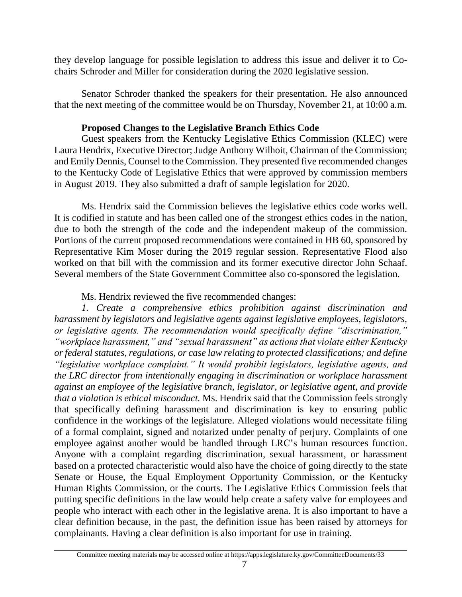they develop language for possible legislation to address this issue and deliver it to Cochairs Schroder and Miller for consideration during the 2020 legislative session.

Senator Schroder thanked the speakers for their presentation. He also announced that the next meeting of the committee would be on Thursday, November 21, at 10:00 a.m.

# **Proposed Changes to the Legislative Branch Ethics Code**

Guest speakers from the Kentucky Legislative Ethics Commission (KLEC) were Laura Hendrix, Executive Director; Judge Anthony Wilhoit, Chairman of the Commission; and Emily Dennis, Counsel to the Commission. They presented five recommended changes to the Kentucky Code of Legislative Ethics that were approved by commission members in August 2019. They also submitted a draft of sample legislation for 2020.

Ms. Hendrix said the Commission believes the legislative ethics code works well. It is codified in statute and has been called one of the strongest ethics codes in the nation, due to both the strength of the code and the independent makeup of the commission*.* Portions of the current proposed recommendations were contained in HB 60, sponsored by Representative Kim Moser during the 2019 regular session. Representative Flood also worked on that bill with the commission and its former executive director John Schaaf. Several members of the State Government Committee also co-sponsored the legislation.

Ms. Hendrix reviewed the five recommended changes:

*1. Create a comprehensive ethics prohibition against discrimination and harassment by legislators and legislative agents against legislative employees, legislators, or legislative agents. The recommendation would specifically define "discrimination," "workplace harassment," and "sexual harassment" as actions that violate either Kentucky or federal statutes, regulations, or case law relating to protected classifications; and define "legislative workplace complaint." It would prohibit legislators, legislative agents, and the LRC director from intentionally engaging in discrimination or workplace harassment against an employee of the legislative branch, legislator, or legislative agent, and provide that a violation is ethical misconduct.* Ms. Hendrix said that the Commission feels strongly that specifically defining harassment and discrimination is key to ensuring public confidence in the workings of the legislature. Alleged violations would necessitate filing of a formal complaint, signed and notarized under penalty of perjury. Complaints of one employee against another would be handled through LRC's human resources function. Anyone with a complaint regarding discrimination, sexual harassment, or harassment based on a protected characteristic would also have the choice of going directly to the state Senate or House, the Equal Employment Opportunity Commission, or the Kentucky Human Rights Commission, or the courts. The Legislative Ethics Commission feels that putting specific definitions in the law would help create a safety valve for employees and people who interact with each other in the legislative arena. It is also important to have a clear definition because, in the past, the definition issue has been raised by attorneys for complainants. Having a clear definition is also important for use in training.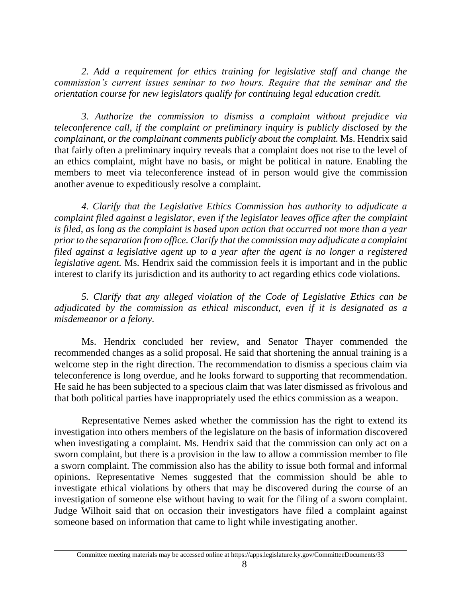2. Add a requirement for ethics training for legislative staff and change the *commission's current issues seminar to two hours. Require that the seminar and the orientation course for new legislators qualify for continuing legal education credit.*

*3. Authorize the commission to dismiss a complaint without prejudice via teleconference call, if the complaint or preliminary inquiry is publicly disclosed by the complainant, or the complainant comments publicly about the complaint.* Ms. Hendrix said that fairly often a preliminary inquiry reveals that a complaint does not rise to the level of an ethics complaint, might have no basis, or might be political in nature. Enabling the members to meet via teleconference instead of in person would give the commission another avenue to expeditiously resolve a complaint.

*4. Clarify that the Legislative Ethics Commission has authority to adjudicate a complaint filed against a legislator, even if the legislator leaves office after the complaint is filed, as long as the complaint is based upon action that occurred not more than a year prior to the separation from office. Clarify that the commission may adjudicate a complaint filed against a legislative agent up to a year after the agent is no longer a registered legislative agent.* Ms. Hendrix said the commission feels it is important and in the public interest to clarify its jurisdiction and its authority to act regarding ethics code violations.

*5. Clarify that any alleged violation of the Code of Legislative Ethics can be adjudicated by the commission as ethical misconduct, even if it is designated as a misdemeanor or a felony.*

Ms. Hendrix concluded her review, and Senator Thayer commended the recommended changes as a solid proposal. He said that shortening the annual training is a welcome step in the right direction. The recommendation to dismiss a specious claim via teleconference is long overdue, and he looks forward to supporting that recommendation. He said he has been subjected to a specious claim that was later dismissed as frivolous and that both political parties have inappropriately used the ethics commission as a weapon.

Representative Nemes asked whether the commission has the right to extend its investigation into others members of the legislature on the basis of information discovered when investigating a complaint. Ms. Hendrix said that the commission can only act on a sworn complaint, but there is a provision in the law to allow a commission member to file a sworn complaint. The commission also has the ability to issue both formal and informal opinions. Representative Nemes suggested that the commission should be able to investigate ethical violations by others that may be discovered during the course of an investigation of someone else without having to wait for the filing of a sworn complaint. Judge Wilhoit said that on occasion their investigators have filed a complaint against someone based on information that came to light while investigating another.